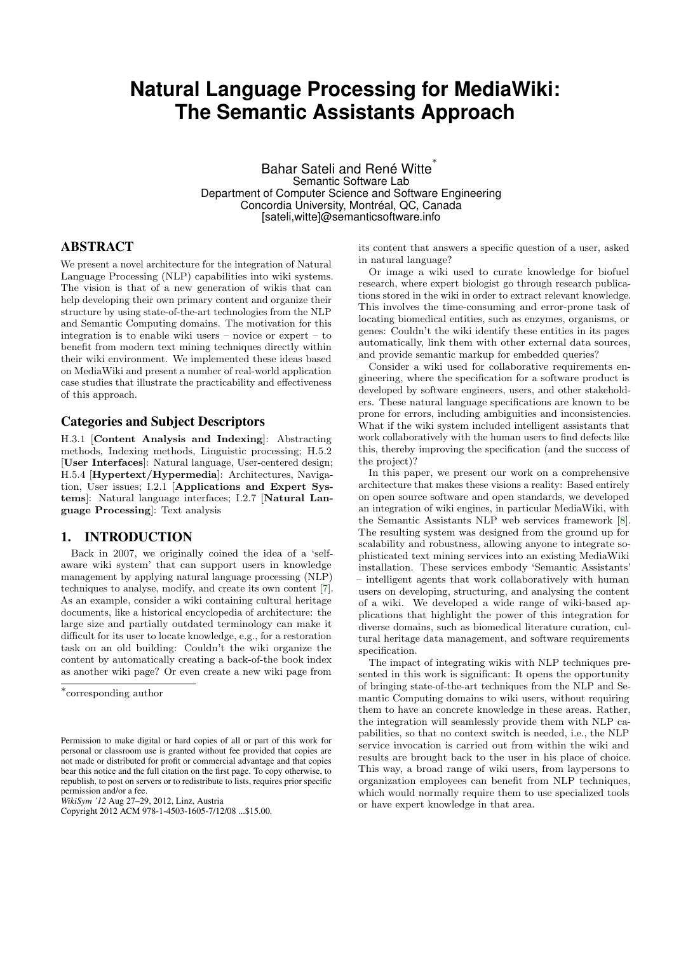# **Natural Language Processing for MediaWiki: The Semantic Assistants Approach**

Bahar Sateli and René Witte ∗ Semantic Software Lab Department of Computer Science and Software Engineering Concordia University, Montréal, QC, Canada [sateli,witte]@semanticsoftware.info

# ABSTRACT

We present a novel architecture for the integration of Natural Language Processing (NLP) capabilities into wiki systems. The vision is that of a new generation of wikis that can help developing their own primary content and organize their structure by using state-of-the-art technologies from the NLP and Semantic Computing domains. The motivation for this integration is to enable wiki users – novice or expert – to benefit from modern text mining techniques directly within their wiki environment. We implemented these ideas based on MediaWiki and present a number of real-world application case studies that illustrate the practicability and effectiveness of this approach.

# Categories and Subject Descriptors

H.3.1 [Content Analysis and Indexing]: Abstracting methods, Indexing methods, Linguistic processing; H.5.2 [User Interfaces]: Natural language, User-centered design; H.5.4 [Hypertext/Hypermedia]: Architectures, Navigation, User issues; I.2.1 [Applications and Expert Systems]: Natural language interfaces; I.2.7 [Natural Language Processing]: Text analysis

# 1. INTRODUCTION

Back in 2007, we originally coined the idea of a 'selfaware wiki system' that can support users in knowledge management by applying natural language processing (NLP) techniques to analyse, modify, and create its own content [\[7\]](#page-9-0). As an example, consider a wiki containing cultural heritage documents, like a historical encyclopedia of architecture: the large size and partially outdated terminology can make it difficult for its user to locate knowledge, e.g., for a restoration task on an old building: Couldn't the wiki organize the content by automatically creating a back-of-the book index as another wiki page? Or even create a new wiki page from

*WikiSym '12* Aug 27–29, 2012, Linz, Austria

its content that answers a specific question of a user, asked in natural language?

Or image a wiki used to curate knowledge for biofuel research, where expert biologist go through research publications stored in the wiki in order to extract relevant knowledge. This involves the time-consuming and error-prone task of locating biomedical entities, such as enzymes, organisms, or genes: Couldn't the wiki identify these entities in its pages automatically, link them with other external data sources, and provide semantic markup for embedded queries?

Consider a wiki used for collaborative requirements engineering, where the specification for a software product is developed by software engineers, users, and other stakeholders. These natural language specifications are known to be prone for errors, including ambiguities and inconsistencies. What if the wiki system included intelligent assistants that work collaboratively with the human users to find defects like this, thereby improving the specification (and the success of the project)?

In this paper, we present our work on a comprehensive architecture that makes these visions a reality: Based entirely on open source software and open standards, we developed an integration of wiki engines, in particular MediaWiki, with the Semantic Assistants NLP web services framework [\[8\]](#page-9-1). The resulting system was designed from the ground up for scalability and robustness, allowing anyone to integrate sophisticated text mining services into an existing MediaWiki installation. These services embody 'Semantic Assistants' – intelligent agents that work collaboratively with human users on developing, structuring, and analysing the content of a wiki. We developed a wide range of wiki-based applications that highlight the power of this integration for diverse domains, such as biomedical literature curation, cultural heritage data management, and software requirements specification.

The impact of integrating wikis with NLP techniques presented in this work is significant: It opens the opportunity of bringing state-of-the-art techniques from the NLP and Semantic Computing domains to wiki users, without requiring them to have an concrete knowledge in these areas. Rather, the integration will seamlessly provide them with NLP capabilities, so that no context switch is needed, i.e., the NLP service invocation is carried out from within the wiki and results are brought back to the user in his place of choice. This way, a broad range of wiki users, from laypersons to organization employees can benefit from NLP techniques, which would normally require them to use specialized tools or have expert knowledge in that area.

<sup>∗</sup> corresponding author

Permission to make digital or hard copies of all or part of this work for personal or classroom use is granted without fee provided that copies are not made or distributed for profit or commercial advantage and that copies bear this notice and the full citation on the first page. To copy otherwise, to republish, to post on servers or to redistribute to lists, requires prior specific permission and/or a fee.

Copyright 2012 ACM 978-1-4503-1605-7/12/08 ...\$15.00.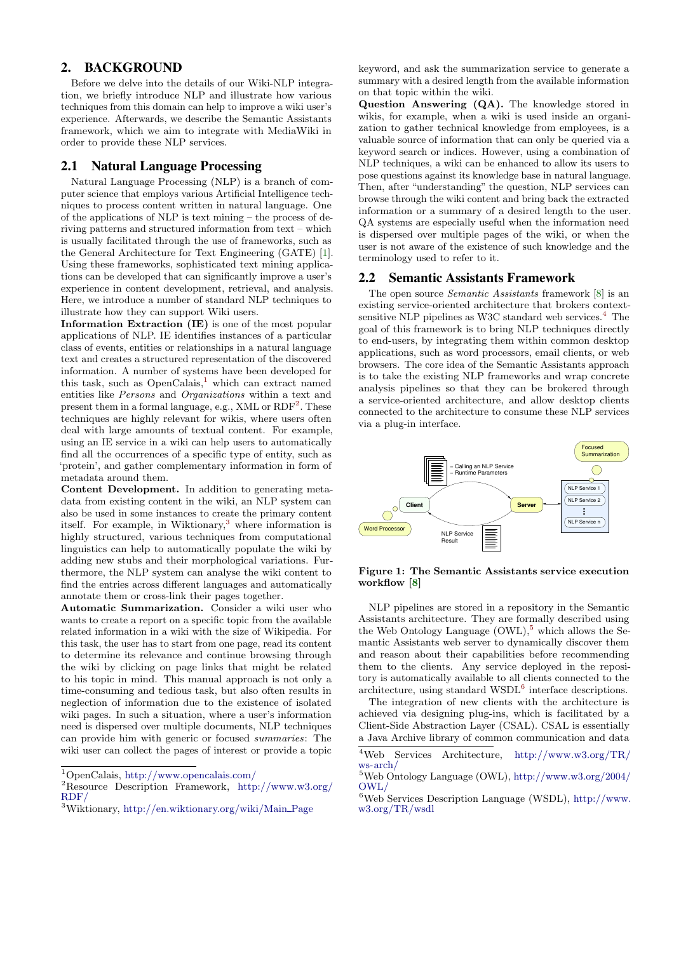# 2. BACKGROUND

Before we delve into the details of our Wiki-NLP integration, we briefly introduce NLP and illustrate how various techniques from this domain can help to improve a wiki user's experience. Afterwards, we describe the Semantic Assistants framework, which we aim to integrate with MediaWiki in order to provide these NLP services.

# 2.1 Natural Language Processing

Natural Language Processing (NLP) is a branch of computer science that employs various Artificial Intelligence techniques to process content written in natural language. One of the applications of NLP is text mining – the process of deriving patterns and structured information from text – which is usually facilitated through the use of frameworks, such as the General Architecture for Text Engineering (GATE) [\[1\]](#page-9-2). Using these frameworks, sophisticated text mining applications can be developed that can significantly improve a user's experience in content development, retrieval, and analysis. Here, we introduce a number of standard NLP techniques to illustrate how they can support Wiki users.

Information Extraction (IE) is one of the most popular applications of NLP. IE identifies instances of a particular class of events, entities or relationships in a natural language text and creates a structured representation of the discovered information. A number of systems have been developed for this task, such as  $OpenCalais<sup>1</sup>$  $OpenCalais<sup>1</sup>$  $OpenCalais<sup>1</sup>$  which can extract named entities like Persons and Organizations within a text and present them in a formal language, e.g., XML or  $RDF<sup>2</sup>$  $RDF<sup>2</sup>$  $RDF<sup>2</sup>$ . These techniques are highly relevant for wikis, where users often deal with large amounts of textual content. For example, using an IE service in a wiki can help users to automatically find all the occurrences of a specific type of entity, such as 'protein', and gather complementary information in form of metadata around them.

Content Development. In addition to generating metadata from existing content in the wiki, an NLP system can also be used in some instances to create the primary content itself. For example, in Wiktionary,<sup>[3](#page-1-2)</sup> where information is highly structured, various techniques from computational linguistics can help to automatically populate the wiki by adding new stubs and their morphological variations. Furthermore, the NLP system can analyse the wiki content to find the entries across different languages and automatically annotate them or cross-link their pages together.

Automatic Summarization. Consider a wiki user who wants to create a report on a specific topic from the available related information in a wiki with the size of Wikipedia. For this task, the user has to start from one page, read its content to determine its relevance and continue browsing through the wiki by clicking on page links that might be related to his topic in mind. This manual approach is not only a time-consuming and tedious task, but also often results in neglection of information due to the existence of isolated wiki pages. In such a situation, where a user's information need is dispersed over multiple documents, NLP techniques can provide him with generic or focused summaries: The wiki user can collect the pages of interest or provide a topic

keyword, and ask the summarization service to generate a summary with a desired length from the available information on that topic within the wiki.

Question Answering (QA). The knowledge stored in wikis, for example, when a wiki is used inside an organization to gather technical knowledge from employees, is a valuable source of information that can only be queried via a keyword search or indices. However, using a combination of NLP techniques, a wiki can be enhanced to allow its users to pose questions against its knowledge base in natural language. Then, after "understanding" the question, NLP services can browse through the wiki content and bring back the extracted information or a summary of a desired length to the user. QA systems are especially useful when the information need is dispersed over multiple pages of the wiki, or when the user is not aware of the existence of such knowledge and the terminology used to refer to it.

#### <span id="page-1-7"></span>2.2 Semantic Assistants Framework

The open source *Semantic Assistants* framework [\[8\]](#page-9-1) is an existing service-oriented architecture that brokers contextsensitive NLP pipelines as W3C standard web services. $4$  The goal of this framework is to bring NLP techniques directly to end-users, by integrating them within common desktop applications, such as word processors, email clients, or web browsers. The core idea of the Semantic Assistants approach is to take the existing NLP frameworks and wrap concrete analysis pipelines so that they can be brokered through a service-oriented architecture, and allow desktop clients connected to the architecture to consume these NLP services via a plug-in interface.



<span id="page-1-6"></span>Figure 1: The Semantic Assistants service execution workflow [\[8\]](#page-9-1)

NLP pipelines are stored in a repository in the Semantic Assistants architecture. They are formally described using the Web Ontology Language  $(OWL)$ ,<sup>[5](#page-1-4)</sup> which allows the Semantic Assistants web server to dynamically discover them and reason about their capabilities before recommending them to the clients. Any service deployed in the repository is automatically available to all clients connected to the architecture, using standard  $WSDL<sup>6</sup>$  $WSDL<sup>6</sup>$  $WSDL<sup>6</sup>$  interface descriptions.

The integration of new clients with the architecture is achieved via designing plug-ins, which is facilitated by a Client-Side Abstraction Layer (CSAL). CSAL is essentially a Java Archive library of common communication and data

<span id="page-1-0"></span><sup>1</sup>OpenCalais, <http://www.opencalais.com/>

<span id="page-1-1"></span><sup>2</sup>Resource Description Framework, [http://www.w3.org/](http://www.w3.org/RDF/) [RDF/](http://www.w3.org/RDF/)

<span id="page-1-2"></span><sup>3</sup>Wiktionary, [http://en.wiktionary.org/wiki/Main](http://en.wiktionary.org/wiki/Main_Page) Page

<span id="page-1-3"></span><sup>4</sup>Web Services Architecture, [http://www.w3.org/TR/](http://www.w3.org/TR/ws-arch/) [ws-arch/](http://www.w3.org/TR/ws-arch/)

<span id="page-1-4"></span><sup>5</sup>Web Ontology Language (OWL), [http://www.w3.org/2004/](http://www.w3.org/2004/OWL/) [OWL/](http://www.w3.org/2004/OWL/)

<span id="page-1-5"></span><sup>6</sup>Web Services Description Language (WSDL), [http://www.](http://www.w3.org/TR/wsdl) [w3.org/TR/wsdl](http://www.w3.org/TR/wsdl)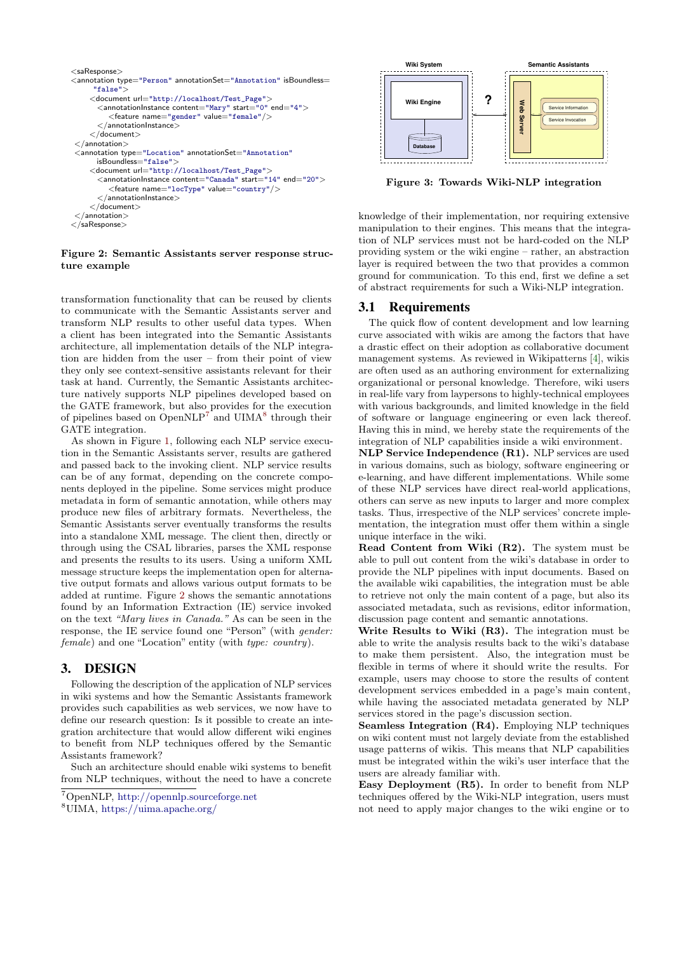```
<saResponse>
<annotation type="Person" annotationSet="Annotation" isBoundless=
       "false">
     <document url="http://localhost/Test_Page">
        <annotationInstance content="Mary" start="0" end="4">
<feature name="gender" value="female"/>
        </annotationInstance>
     </document>
 \langle annotation><annotation type="Location" annotationSet="Annotation"
       isBoundless="false">
     <document url="http://localhost/Test_Page">
        <annotationInstance content="Canada" start="14" end="20">
<feature name="locType" value="country"/>
       </annotationInstance>
     \langle /document\rangle< /annotation ></sa\sf{Response}
```
#### <span id="page-2-2"></span>Figure 2: Semantic Assistants server response structure example

transformation functionality that can be reused by clients to communicate with the Semantic Assistants server and transform NLP results to other useful data types. When a client has been integrated into the Semantic Assistants architecture, all implementation details of the NLP integration are hidden from the user – from their point of view they only see context-sensitive assistants relevant for their task at hand. Currently, the Semantic Assistants architecture natively supports NLP pipelines developed based on the GATE framework, but also provides for the execution of pipelines based on  $OpenNLP<sup>7</sup>$  $OpenNLP<sup>7</sup>$  $OpenNLP<sup>7</sup>$  and  $UIMA<sup>8</sup>$  $UIMA<sup>8</sup>$  $UIMA<sup>8</sup>$  through their GATE integration.

As shown in Figure [1,](#page-1-6) following each NLP service execution in the Semantic Assistants server, results are gathered and passed back to the invoking client. NLP service results can be of any format, depending on the concrete components deployed in the pipeline. Some services might produce metadata in form of semantic annotation, while others may produce new files of arbitrary formats. Nevertheless, the Semantic Assistants server eventually transforms the results into a standalone XML message. The client then, directly or through using the CSAL libraries, parses the XML response and presents the results to its users. Using a uniform XML message structure keeps the implementation open for alternative output formats and allows various output formats to be added at runtime. Figure [2](#page-2-2) shows the semantic annotations found by an Information Extraction (IE) service invoked on the text "Mary lives in Canada." As can be seen in the response, the IE service found one "Person" (with gender: female) and one "Location" entity (with type: country).

# 3. DESIGN

Following the description of the application of NLP services in wiki systems and how the Semantic Assistants framework provides such capabilities as web services, we now have to define our research question: Is it possible to create an integration architecture that would allow different wiki engines to benefit from NLP techniques offered by the Semantic Assistants framework?

Such an architecture should enable wiki systems to benefit from NLP techniques, without the need to have a concrete



Figure 3: Towards Wiki-NLP integration

knowledge of their implementation, nor requiring extensive manipulation to their engines. This means that the integration of NLP services must not be hard-coded on the NLP providing system or the wiki engine – rather, an abstraction layer is required between the two that provides a common ground for communication. To this end, first we define a set of abstract requirements for such a Wiki-NLP integration.

# 3.1 Requirements

The quick flow of content development and low learning curve associated with wikis are among the factors that have a drastic effect on their adoption as collaborative document management systems. As reviewed in Wikipatterns [\[4\]](#page-9-3), wikis are often used as an authoring environment for externalizing organizational or personal knowledge. Therefore, wiki users in real-life vary from laypersons to highly-technical employees with various backgrounds, and limited knowledge in the field of software or language engineering or even lack thereof. Having this in mind, we hereby state the requirements of the integration of NLP capabilities inside a wiki environment.

NLP Service Independence (R1). NLP services are used in various domains, such as biology, software engineering or e-learning, and have different implementations. While some of these NLP services have direct real-world applications, others can serve as new inputs to larger and more complex tasks. Thus, irrespective of the NLP services' concrete implementation, the integration must offer them within a single unique interface in the wiki.

Read Content from Wiki (R2). The system must be able to pull out content from the wiki's database in order to provide the NLP pipelines with input documents. Based on the available wiki capabilities, the integration must be able to retrieve not only the main content of a page, but also its associated metadata, such as revisions, editor information, discussion page content and semantic annotations.

Write Results to Wiki (R3). The integration must be able to write the analysis results back to the wiki's database to make them persistent. Also, the integration must be flexible in terms of where it should write the results. For example, users may choose to store the results of content development services embedded in a page's main content, while having the associated metadata generated by NLP services stored in the page's discussion section.

Seamless Integration (R4). Employing NLP techniques on wiki content must not largely deviate from the established usage patterns of wikis. This means that NLP capabilities must be integrated within the wiki's user interface that the users are already familiar with.

Easy Deployment (R5). In order to benefit from NLP techniques offered by the Wiki-NLP integration, users must not need to apply major changes to the wiki engine or to

<span id="page-2-0"></span><sup>7</sup>OpenNLP, <http://opennlp.sourceforge.net>

<span id="page-2-1"></span><sup>8</sup>UIMA, <https://uima.apache.org/>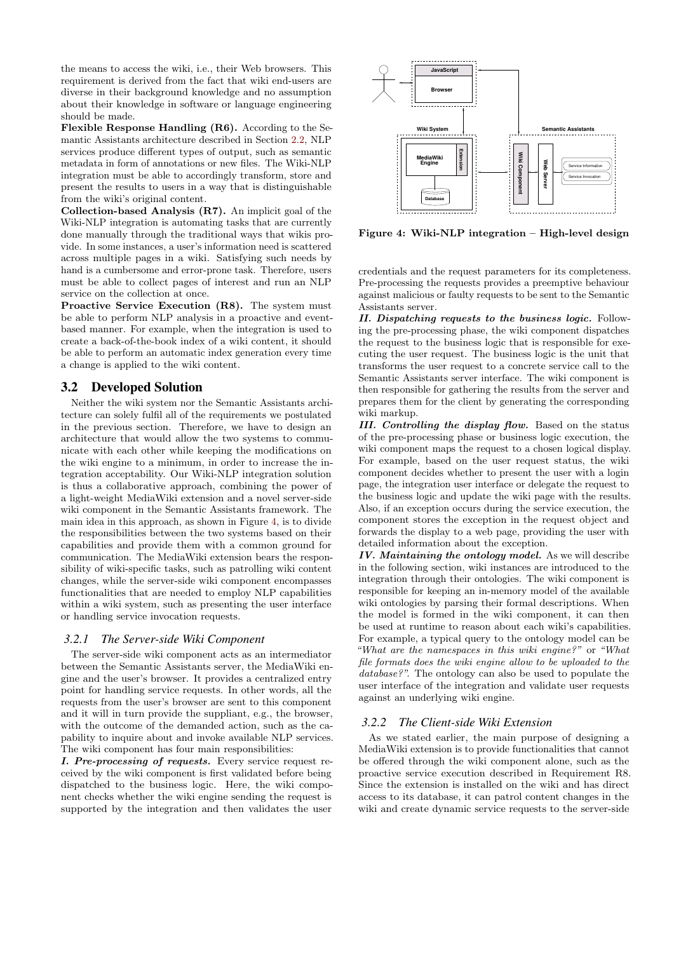the means to access the wiki, i.e., their Web browsers. This requirement is derived from the fact that wiki end-users are diverse in their background knowledge and no assumption about their knowledge in software or language engineering should be made.

Flexible Response Handling (R6). According to the Semantic Assistants architecture described in Section [2.2,](#page-1-7) NLP services produce different types of output, such as semantic metadata in form of annotations or new files. The Wiki-NLP integration must be able to accordingly transform, store and present the results to users in a way that is distinguishable from the wiki's original content.

Collection-based Analysis (R7). An implicit goal of the Wiki-NLP integration is automating tasks that are currently done manually through the traditional ways that wikis provide. In some instances, a user's information need is scattered across multiple pages in a wiki. Satisfying such needs by hand is a cumbersome and error-prone task. Therefore, users must be able to collect pages of interest and run an NLP service on the collection at once.

Proactive Service Execution (R8). The system must be able to perform NLP analysis in a proactive and eventbased manner. For example, when the integration is used to create a back-of-the-book index of a wiki content, it should be able to perform an automatic index generation every time a change is applied to the wiki content.

# 3.2 Developed Solution

Neither the wiki system nor the Semantic Assistants architecture can solely fulfil all of the requirements we postulated in the previous section. Therefore, we have to design an architecture that would allow the two systems to communicate with each other while keeping the modifications on the wiki engine to a minimum, in order to increase the integration acceptability. Our Wiki-NLP integration solution is thus a collaborative approach, combining the power of a light-weight MediaWiki extension and a novel server-side wiki component in the Semantic Assistants framework. The main idea in this approach, as shown in Figure [4,](#page-3-0) is to divide the responsibilities between the two systems based on their capabilities and provide them with a common ground for communication. The MediaWiki extension bears the responsibility of wiki-specific tasks, such as patrolling wiki content changes, while the server-side wiki component encompasses functionalities that are needed to employ NLP capabilities within a wiki system, such as presenting the user interface or handling service invocation requests.

#### <span id="page-3-1"></span>*3.2.1 The Server-side Wiki Component*

The server-side wiki component acts as an intermediator between the Semantic Assistants server, the MediaWiki engine and the user's browser. It provides a centralized entry point for handling service requests. In other words, all the requests from the user's browser are sent to this component and it will in turn provide the suppliant, e.g., the browser, with the outcome of the demanded action, such as the capability to inquire about and invoke available NLP services. The wiki component has four main responsibilities:

I. Pre-processing of requests. Every service request received by the wiki component is first validated before being dispatched to the business logic. Here, the wiki component checks whether the wiki engine sending the request is supported by the integration and then validates the user



<span id="page-3-0"></span>Figure 4: Wiki-NLP integration – High-level design

credentials and the request parameters for its completeness. Pre-processing the requests provides a preemptive behaviour against malicious or faulty requests to be sent to the Semantic Assistants server.

II. Dispatching requests to the business logic. Following the pre-processing phase, the wiki component dispatches the request to the business logic that is responsible for executing the user request. The business logic is the unit that transforms the user request to a concrete service call to the Semantic Assistants server interface. The wiki component is then responsible for gathering the results from the server and prepares them for the client by generating the corresponding wiki markup.

III. Controlling the display flow. Based on the status of the pre-processing phase or business logic execution, the wiki component maps the request to a chosen logical display. For example, based on the user request status, the wiki component decides whether to present the user with a login page, the integration user interface or delegate the request to the business logic and update the wiki page with the results. Also, if an exception occurs during the service execution, the component stores the exception in the request object and forwards the display to a web page, providing the user with detailed information about the exception.

IV. Maintaining the ontology model. As we will describe in the following section, wiki instances are introduced to the integration through their ontologies. The wiki component is responsible for keeping an in-memory model of the available wiki ontologies by parsing their formal descriptions. When the model is formed in the wiki component, it can then be used at runtime to reason about each wiki's capabilities. For example, a typical query to the ontology model can be "What are the namespaces in this wiki engine?" or "What file formats does the wiki engine allow to be uploaded to the database?". The ontology can also be used to populate the user interface of the integration and validate user requests against an underlying wiki engine.

#### *3.2.2 The Client-side Wiki Extension*

As we stated earlier, the main purpose of designing a MediaWiki extension is to provide functionalities that cannot be offered through the wiki component alone, such as the proactive service execution described in Requirement R8. Since the extension is installed on the wiki and has direct access to its database, it can patrol content changes in the wiki and create dynamic service requests to the server-side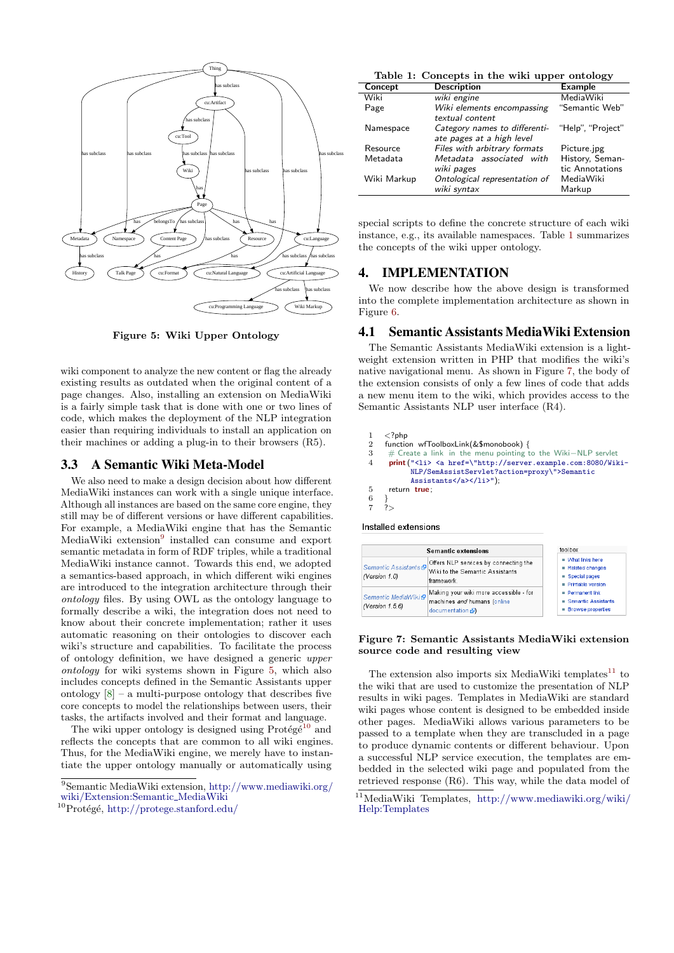

<span id="page-4-1"></span>Figure 5: Wiki Upper Ontology

wiki component to analyze the new content or flag the already existing results as outdated when the original content of a page changes. Also, installing an extension on MediaWiki is a fairly simple task that is done with one or two lines of code, which makes the deployment of the NLP integration easier than requiring individuals to install an application on their machines or adding a plug-in to their browsers (R5).

# 3.3 A Semantic Wiki Meta-Model

We also need to make a design decision about how different MediaWiki instances can work with a single unique interface. Although all instances are based on the same core engine, they still may be of different versions or have different capabilities. For example, a MediaWiki engine that has the Semantic MediaWiki extension<sup>[9](#page-4-0)</sup> installed can consume and export semantic metadata in form of RDF triples, while a traditional MediaWiki instance cannot. Towards this end, we adopted a semantics-based approach, in which different wiki engines are introduced to the integration architecture through their ontology files. By using OWL as the ontology language to formally describe a wiki, the integration does not need to know about their concrete implementation; rather it uses automatic reasoning on their ontologies to discover each wiki's structure and capabilities. To facilitate the process of ontology definition, we have designed a generic upper ontology for wiki systems shown in Figure [5,](#page-4-1) which also includes concepts defined in the Semantic Assistants upper ontology  $[8]$  – a multi-purpose ontology that describes five core concepts to model the relationships between users, their tasks, the artifacts involved and their format and language.

The wiki upper ontology is designed using  $\text{Protég}^{\{10\}}$  $\text{Protég}^{\{10\}}$  $\text{Protég}^{\{10\}}$  and reflects the concepts that are common to all wiki engines. Thus, for the MediaWiki engine, we merely have to instantiate the upper ontology manually or automatically using

<span id="page-4-3"></span>

| Table 1: Concepts in the wiki upper ontology |  |  |  |
|----------------------------------------------|--|--|--|
|                                              |  |  |  |

| rapic 1. Concepts in the wiki upper ontology |                               |                   |  |  |
|----------------------------------------------|-------------------------------|-------------------|--|--|
| Concept                                      | <b>Description</b>            | <b>Example</b>    |  |  |
| Wiki                                         | wiki engine                   | MediaWiki         |  |  |
| Page                                         | Wiki elements encompassing    | "Semantic Web"    |  |  |
|                                              | textual content               |                   |  |  |
| Namespace                                    | Category names to differenti- | "Help", "Project" |  |  |
|                                              | ate pages at a high level     |                   |  |  |
| Resource                                     | Files with arbitrary formats  | Picture.jpg       |  |  |
| Metadata                                     | Metadata associated with      | History, Seman-   |  |  |
|                                              | wiki pages                    | tic Annotations   |  |  |
| Wiki Markup                                  | Ontological representation of | MediaWiki         |  |  |
|                                              | wiki syntax                   | Markup            |  |  |

special scripts to define the concrete structure of each wiki instance, e.g., its available namespaces. Table [1](#page-4-3) summarizes the concepts of the wiki upper ontology.

### 4. IMPLEMENTATION

We now describe how the above design is transformed into the complete implementation architecture as shown in Figure [6.](#page-5-0)

# 4.1 Semantic Assistants MediaWiki Extension

The Semantic Assistants MediaWiki extension is a lightweight extension written in PHP that modifies the wiki's native navigational menu. As shown in Figure [7,](#page-4-4) the body of the extension consists of only a few lines of code that adds a new menu item to the wiki, which provides access to the Semantic Assistants NLP user interface (R4).

```
\begin{array}{cc} 1 & < ?\text{php} \\ 2 & \text{function} \end{array}2 function wfToolboxLink(&$monobook) {<br>3 \# Create a link in the menu pointing t
3 # Create a link in the menu pointing to the Wiki−NLP servlet<br>4 print ("<1) > <a href=\"http://server.example.com:8080/Wiki
        print ("<li> <a href=\"http://server.example.com:8080/Wiki-
                  NLP/SemAssistServlet?action=proxy\">Semantic
                  Assistants</a></li>");
5 return true;
\frac{6}{7}}<br>?>
```
Installed extensions



#### <span id="page-4-4"></span>Figure 7: Semantic Assistants MediaWiki extension source code and resulting view

The extension also imports six MediaWiki templates $^{11}$  $^{11}$  $^{11}$  to the wiki that are used to customize the presentation of NLP results in wiki pages. Templates in MediaWiki are standard wiki pages whose content is designed to be embedded inside other pages. MediaWiki allows various parameters to be passed to a template when they are transcluded in a page to produce dynamic contents or different behaviour. Upon a successful NLP service execution, the templates are embedded in the selected wiki page and populated from the retrieved response (R6). This way, while the data model of

<span id="page-4-0"></span> $^{9}$ Semantic MediaWiki extension, [http://www.mediawiki.org/](http://www.mediawiki.org/wiki/Extension:Semantic_MediaWiki)  $\,$ [wiki/Extension:Semantic](http://www.mediawiki.org/wiki/Extension:Semantic_MediaWiki) MediaWiki

<span id="page-4-2"></span> $^{10}\mathrm{Prot}$ égé, <http://protege.stanford.edu/>

<span id="page-4-5"></span><sup>11</sup>MediaWiki Templates, [http://www.mediawiki.org/wiki/](http://www.mediawiki.org/wiki/Help:Templates) [Help:Templates](http://www.mediawiki.org/wiki/Help:Templates)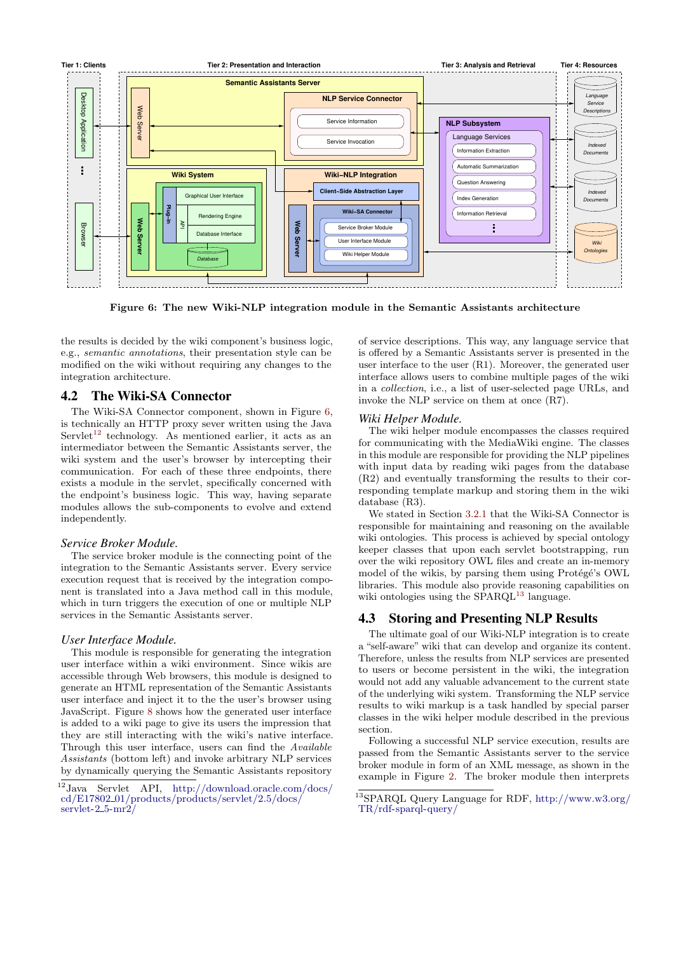

<span id="page-5-0"></span>Figure 6: The new Wiki-NLP integration module in the Semantic Assistants architecture

the results is decided by the wiki component's business logic, e.g., semantic annotations, their presentation style can be modified on the wiki without requiring any changes to the integration architecture.

# 4.2 The Wiki-SA Connector

The Wiki-SA Connector component, shown in Figure [6,](#page-5-0) is technically an HTTP proxy sever written using the Java Servlet<sup>[12](#page-5-1)</sup> technology. As mentioned earlier, it acts as an intermediator between the Semantic Assistants server, the wiki system and the user's browser by intercepting their communication. For each of these three endpoints, there exists a module in the servlet, specifically concerned with the endpoint's business logic. This way, having separate modules allows the sub-components to evolve and extend independently.

#### *Service Broker Module.*

The service broker module is the connecting point of the integration to the Semantic Assistants server. Every service execution request that is received by the integration component is translated into a Java method call in this module, which in turn triggers the execution of one or multiple NLP services in the Semantic Assistants server.

#### *User Interface Module.*

This module is responsible for generating the integration user interface within a wiki environment. Since wikis are accessible through Web browsers, this module is designed to generate an HTML representation of the Semantic Assistants user interface and inject it to the the user's browser using JavaScript. Figure [8](#page-6-0) shows how the generated user interface is added to a wiki page to give its users the impression that they are still interacting with the wiki's native interface. Through this user interface, users can find the Available Assistants (bottom left) and invoke arbitrary NLP services by dynamically querying the Semantic Assistants repository

of service descriptions. This way, any language service that is offered by a Semantic Assistants server is presented in the user interface to the user (R1). Moreover, the generated user interface allows users to combine multiple pages of the wiki in a collection, i.e., a list of user-selected page URLs, and invoke the NLP service on them at once (R7).

#### *Wiki Helper Module.*

The wiki helper module encompasses the classes required for communicating with the MediaWiki engine. The classes in this module are responsible for providing the NLP pipelines with input data by reading wiki pages from the database (R2) and eventually transforming the results to their corresponding template markup and storing them in the wiki database (R3).

We stated in Section [3.2.1](#page-3-1) that the Wiki-SA Connector is responsible for maintaining and reasoning on the available wiki ontologies. This process is achieved by special ontology keeper classes that upon each servlet bootstrapping, run over the wiki repository OWL files and create an in-memory model of the wikis, by parsing them using Protégé's OWL libraries. This module also provide reasoning capabilities on wiki ontologies using the  $\widehat{\mathrm{SPARQL}}^{13}$  $\widehat{\mathrm{SPARQL}}^{13}$  $\widehat{\mathrm{SPARQL}}^{13}$  language.

# 4.3 Storing and Presenting NLP Results

The ultimate goal of our Wiki-NLP integration is to create a "self-aware" wiki that can develop and organize its content. Therefore, unless the results from NLP services are presented to users or become persistent in the wiki, the integration would not add any valuable advancement to the current state of the underlying wiki system. Transforming the NLP service results to wiki markup is a task handled by special parser classes in the wiki helper module described in the previous section.

Following a successful NLP service execution, results are passed from the Semantic Assistants server to the service broker module in form of an XML message, as shown in the example in Figure [2.](#page-2-2) The broker module then interprets

<span id="page-5-1"></span> $12\overline{\text{Java}}$  Servlet API, [http://download.oracle.com/docs/](http://download.oracle.com/docs/cd/E17802_01/products/ products/servlet/2.5/docs/servlet-2_5-mr2/) cd/E17802 [01/products/products/servlet/2.5/docs/](http://download.oracle.com/docs/cd/E17802_01/products/ products/servlet/2.5/docs/servlet-2_5-mr2/) [servlet-2](http://download.oracle.com/docs/cd/E17802_01/products/ products/servlet/2.5/docs/servlet-2_5-mr2/)\_5- $mr2/$ 

<span id="page-5-2"></span><sup>13</sup>SPARQL Query Language for RDF, [http://www.w3.org/](http://www.w3.org/TR/rdf-sparql-query/) [TR/rdf-sparql-query/](http://www.w3.org/TR/rdf-sparql-query/)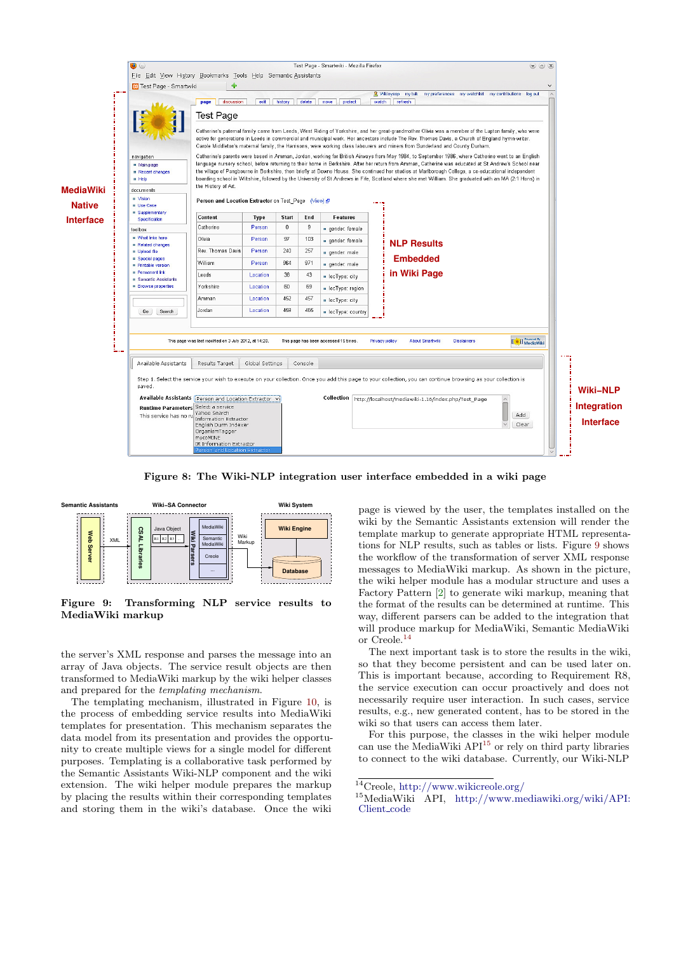

<span id="page-6-0"></span>Figure 8: The Wiki-NLP integration user interface embedded in a wiki page



<span id="page-6-1"></span>Figure 9: Transforming NLP service results to MediaWiki markup

the server's XML response and parses the message into an array of Java objects. The service result objects are then transformed to MediaWiki markup by the wiki helper classes and prepared for the templating mechanism.

The templating mechanism, illustrated in Figure [10,](#page-7-0) is the process of embedding service results into MediaWiki templates for presentation. This mechanism separates the data model from its presentation and provides the opportunity to create multiple views for a single model for different purposes. Templating is a collaborative task performed by the Semantic Assistants Wiki-NLP component and the wiki extension. The wiki helper module prepares the markup by placing the results within their corresponding templates and storing them in the wiki's database. Once the wiki

page is viewed by the user, the templates installed on the wiki by the Semantic Assistants extension will render the template markup to generate appropriate HTML representations for NLP results, such as tables or lists. Figure [9](#page-6-1) shows the workflow of the transformation of server XML response messages to MediaWiki markup. As shown in the picture, the wiki helper module has a modular structure and uses a Factory Pattern [\[2\]](#page-9-4) to generate wiki markup, meaning that the format of the results can be determined at runtime. This way, different parsers can be added to the integration that will produce markup for MediaWiki, Semantic MediaWiki or Creole.[14](#page-6-2)

The next important task is to store the results in the wiki, so that they become persistent and can be used later on. This is important because, according to Requirement R8, the service execution can occur proactively and does not necessarily require user interaction. In such cases, service results, e.g., new generated content, has to be stored in the wiki so that users can access them later.

For this purpose, the classes in the wiki helper module can use the MediaWiki  $API<sup>15</sup>$  $API<sup>15</sup>$  $API<sup>15</sup>$  or rely on third party libraries to connect to the wiki database. Currently, our Wiki-NLP

<span id="page-6-2"></span> $\rm ^{14}Creole,$ <http://www.wikicreole.org/>

<span id="page-6-3"></span> $15$ MediaWiki API, [http://www.mediawiki.org/wiki/API:](http://www.mediawiki.org/wiki/API:Client_code) [Client](http://www.mediawiki.org/wiki/API:Client_code)\_code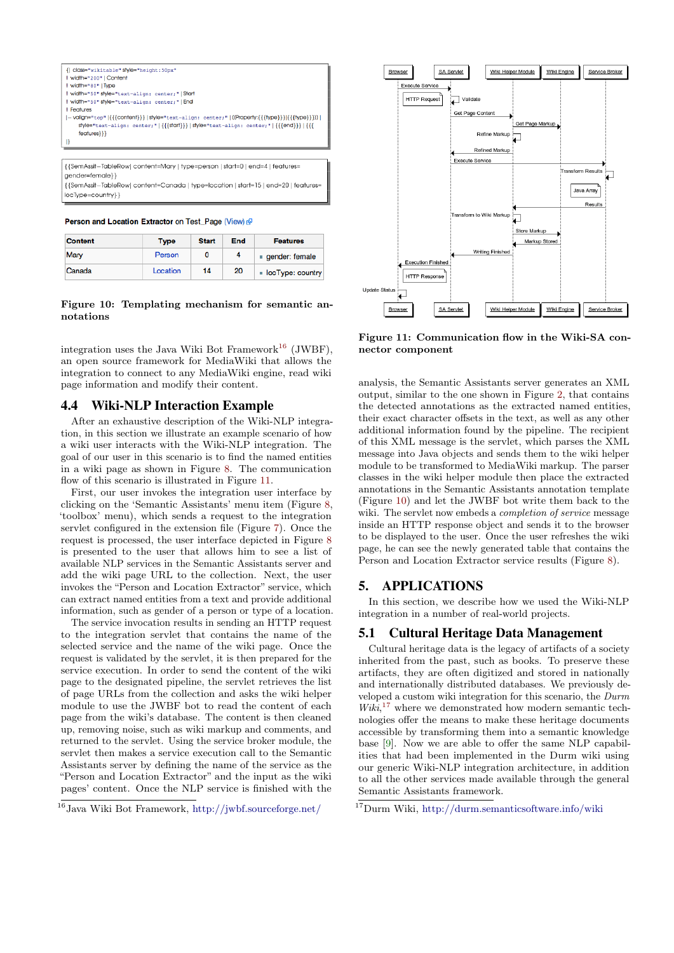

complet=female}} {{SemAssit-TableRow| content=Canada | type=location | start=15 | end=20 | features= locType=country}}

Person and Location Extractor on Test\_Page (View) @

| <b>Content</b> | <b>Type</b> | <b>Start</b> | End | <b>Features</b>                 |
|----------------|-------------|--------------|-----|---------------------------------|
| Mary           | Person      |              | 4   | gender: female                  |
| Canada         | Location    | 14           | 20  | $\blacksquare$ locType: country |

#### <span id="page-7-0"></span>Figure 10: Templating mechanism for semantic annotations

integration uses the Java Wiki Bot Framework<sup>[16](#page-7-1)</sup> (JWBF), an open source framework for MediaWiki that allows the integration to connect to any MediaWiki engine, read wiki page information and modify their content.

#### 4.4 Wiki-NLP Interaction Example

After an exhaustive description of the Wiki-NLP integration, in this section we illustrate an example scenario of how a wiki user interacts with the Wiki-NLP integration. The goal of our user in this scenario is to find the named entities in a wiki page as shown in Figure [8.](#page-6-0) The communication flow of this scenario is illustrated in Figure [11.](#page-7-2)

First, our user invokes the integration user interface by clicking on the 'Semantic Assistants' menu item (Figure [8,](#page-6-0) 'toolbox' menu), which sends a request to the integration servlet configured in the extension file (Figure [7\)](#page-4-4). Once the request is processed, the user interface depicted in Figure [8](#page-6-0) is presented to the user that allows him to see a list of available NLP services in the Semantic Assistants server and add the wiki page URL to the collection. Next, the user invokes the "Person and Location Extractor" service, which can extract named entities from a text and provide additional information, such as gender of a person or type of a location.

The service invocation results in sending an HTTP request to the integration servlet that contains the name of the selected service and the name of the wiki page. Once the request is validated by the servlet, it is then prepared for the service execution. In order to send the content of the wiki page to the designated pipeline, the servlet retrieves the list of page URLs from the collection and asks the wiki helper module to use the JWBF bot to read the content of each page from the wiki's database. The content is then cleaned up, removing noise, such as wiki markup and comments, and returned to the servlet. Using the service broker module, the servlet then makes a service execution call to the Semantic Assistants server by defining the name of the service as the "Person and Location Extractor" and the input as the wiki pages' content. Once the NLP service is finished with the



<span id="page-7-2"></span>Figure 11: Communication flow in the Wiki-SA connector component

analysis, the Semantic Assistants server generates an XML output, similar to the one shown in Figure [2,](#page-2-2) that contains the detected annotations as the extracted named entities, their exact character offsets in the text, as well as any other additional information found by the pipeline. The recipient of this XML message is the servlet, which parses the XML message into Java objects and sends them to the wiki helper module to be transformed to MediaWiki markup. The parser classes in the wiki helper module then place the extracted annotations in the Semantic Assistants annotation template (Figure [10\)](#page-7-0) and let the JWBF bot write them back to the wiki. The servlet now embeds a *completion of service* message inside an HTTP response object and sends it to the browser to be displayed to the user. Once the user refreshes the wiki page, he can see the newly generated table that contains the Person and Location Extractor service results (Figure [8\)](#page-6-0).

# 5. APPLICATIONS

In this section, we describe how we used the Wiki-NLP integration in a number of real-world projects.

# 5.1 Cultural Heritage Data Management

Cultural heritage data is the legacy of artifacts of a society inherited from the past, such as books. To preserve these artifacts, they are often digitized and stored in nationally and internationally distributed databases. We previously developed a custom wiki integration for this scenario, the Durm  $Wiki,$ <sup>[17](#page-7-3)</sup> where we demonstrated how modern semantic technologies offer the means to make these heritage documents accessible by transforming them into a semantic knowledge base [\[9\]](#page-9-5). Now we are able to offer the same NLP capabilities that had been implemented in the Durm wiki using our generic Wiki-NLP integration architecture, in addition to all the other services made available through the general Semantic Assistants framework.

<span id="page-7-1"></span> $^{16}$ Java Wiki Bot Framework, <http://jwbf.sourceforge.net/>

<span id="page-7-3"></span><sup>17</sup>Durm Wiki, <http://durm.semanticsoftware.info/wiki>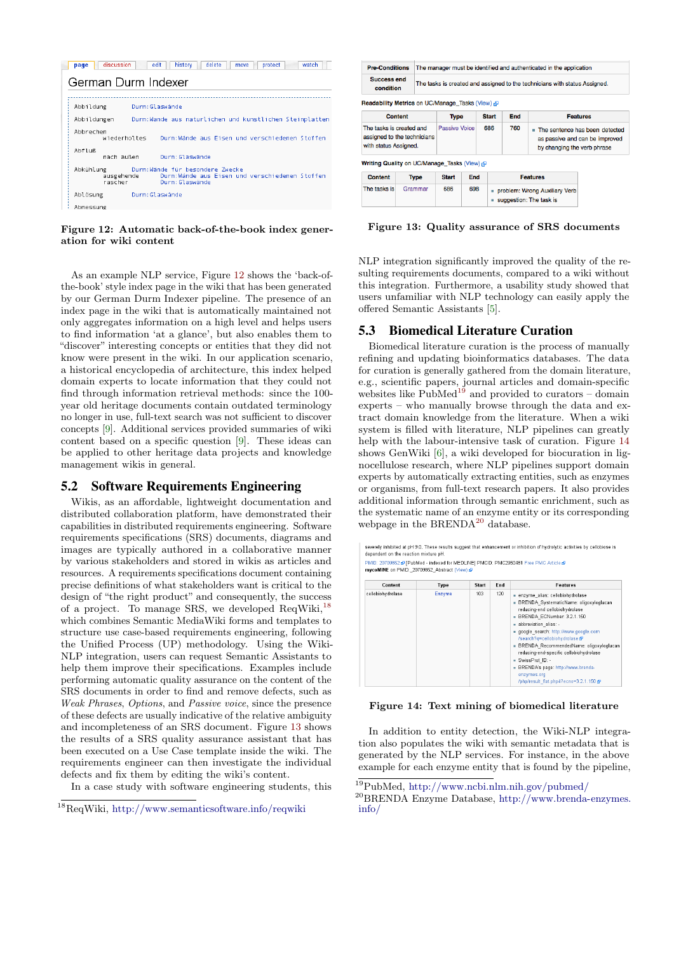| discussion<br>history<br>delete<br>edit<br>protect<br>watch<br>page<br>move |                                                                                                       |  |  |  |  |
|-----------------------------------------------------------------------------|-------------------------------------------------------------------------------------------------------|--|--|--|--|
| German Durm Indexer                                                         |                                                                                                       |  |  |  |  |
| Durm: Glaswände<br>Abbildung                                                |                                                                                                       |  |  |  |  |
| Abbildungen<br>Durm:Wande aus naturlichen und kunstlichen Steinplatten      |                                                                                                       |  |  |  |  |
| Abbrechen<br>wiederholtes<br>Durm:Wände aus Eisen und verschiedenen Stoffen |                                                                                                       |  |  |  |  |
| Abfluß<br>nach außen                                                        | Durm: Glaswände                                                                                       |  |  |  |  |
| Abkühlung<br>ausgehende<br>rascher                                          | Durm:Wände für besondere Zwecke<br>Durm: Wände aus Eisen und verschiedenen Stoffen<br>Durm: Glaswände |  |  |  |  |
| Durm: Glaswände<br>Ablösung                                                 |                                                                                                       |  |  |  |  |
| Abmessung                                                                   |                                                                                                       |  |  |  |  |

<span id="page-8-0"></span>Figure 12: Automatic back-of-the-book index generation for wiki content

As an example NLP service, Figure [12](#page-8-0) shows the 'back-ofthe-book' style index page in the wiki that has been generated by our German Durm Indexer pipeline. The presence of an index page in the wiki that is automatically maintained not only aggregates information on a high level and helps users to find information 'at a glance', but also enables them to "discover" interesting concepts or entities that they did not know were present in the wiki. In our application scenario, a historical encyclopedia of architecture, this index helped domain experts to locate information that they could not find through information retrieval methods: since the 100 year old heritage documents contain outdated terminology no longer in use, full-text search was not sufficient to discover concepts [\[9\]](#page-9-5). Additional services provided summaries of wiki content based on a specific question [\[9\]](#page-9-5). These ideas can be applied to other heritage data projects and knowledge management wikis in general.

# 5.2 Software Requirements Engineering

Wikis, as an affordable, lightweight documentation and distributed collaboration platform, have demonstrated their capabilities in distributed requirements engineering. Software requirements specifications (SRS) documents, diagrams and images are typically authored in a collaborative manner by various stakeholders and stored in wikis as articles and resources. A requirements specifications document containing precise definitions of what stakeholders want is critical to the design of "the right product" and consequently, the success of a project. To manage SRS, we developed ReqWiki,<sup>[18](#page-8-1)</sup> which combines Semantic MediaWiki forms and templates to structure use case-based requirements engineering, following the Unified Process (UP) methodology. Using the Wiki-NLP integration, users can request Semantic Assistants to help them improve their specifications. Examples include performing automatic quality assurance on the content of the SRS documents in order to find and remove defects, such as Weak Phrases, Options, and Passive voice, since the presence of these defects are usually indicative of the relative ambiguity and incompleteness of an SRS document. Figure [13](#page-8-2) shows the results of a SRS quality assurance assistant that has been executed on a Use Case template inside the wiki. The requirements engineer can then investigate the individual defects and fix them by editing the wiki's content.

In a case study with software engineering students, this

| <b>Pre-Conditions</b>                                                            |             | The manager must be identified and authenticated in the application        |                      |     |                                                          |                                                                                                   |  |
|----------------------------------------------------------------------------------|-------------|----------------------------------------------------------------------------|----------------------|-----|----------------------------------------------------------|---------------------------------------------------------------------------------------------------|--|
| <b>Success end</b><br>condition                                                  |             | The tasks is created and assigned to the technicians with status Assigned. |                      |     |                                                          |                                                                                                   |  |
| Readability Metrics on UC/Manage_Tasks (View) &                                  |             |                                                                            |                      |     |                                                          |                                                                                                   |  |
| <b>Content</b>                                                                   |             |                                                                            | <b>Start</b><br>Type |     | End                                                      | <b>Features</b>                                                                                   |  |
| The tasks is created and<br>assigned to the technicians<br>with status Assigned. |             | Passive Voice                                                              |                      | 686 | 760                                                      | . The sentence has been detected<br>as passive and can be improved<br>by changing the verb phrase |  |
| Writing Quality on UC/Manage_Tasks (View) &                                      |             |                                                                            |                      |     |                                                          |                                                                                                   |  |
| <b>Content</b>                                                                   | <b>Type</b> | <b>Start</b>                                                               | <b>End</b>           |     | <b>Features</b>                                          |                                                                                                   |  |
| The tasks is                                                                     | Grammar     | 686                                                                        | 698                  | ٠   | problem: Wrong Auxiliary Verb<br>suggestion: The task is |                                                                                                   |  |

<span id="page-8-2"></span>Figure 13: Quality assurance of SRS documents

NLP integration significantly improved the quality of the resulting requirements documents, compared to a wiki without this integration. Furthermore, a usability study showed that users unfamiliar with NLP technology can easily apply the offered Semantic Assistants [\[5\]](#page-9-6).

## 5.3 Biomedical Literature Curation

Biomedical literature curation is the process of manually refining and updating bioinformatics databases. The data for curation is generally gathered from the domain literature, e.g., scientific papers, journal articles and domain-specific websites like  $\text{PubMed}^{19}$  $\text{PubMed}^{19}$  $\text{PubMed}^{19}$  and provided to curators – domain experts – who manually browse through the data and extract domain knowledge from the literature. When a wiki system is filled with literature, NLP pipelines can greatly help with the labour-intensive task of curation. Figure  $14$ shows GenWiki [\[6\]](#page-9-7), a wiki developed for biocuration in lignocellulose research, where NLP pipelines support domain experts by automatically extracting entities, such as enzymes or organisms, from full-text research papers. It also provides additional information through semantic enrichment, such as the systematic name of an enzyme entity or its corresponding webpage in the BRENDA $^{20}$  $^{20}$  $^{20}$  database.

.<br>everely inhibited at pH 9.0. These results suggest that enhancement or inhibition of hydrolytic activities by cellobiose is dependent on the reaction mixture pH. aepenaent on the reaction mixture pri.<br>PMID: 20709852 & [PubMed - indexed for MEDLINE] PMCID: PMC2950481 Free PMC Article&<br>ImycoMINE on PMID:\_20709652\_Abstract (View) @ Content Type Start End Features cellobiohydrolase Enzym 103 120 enzyme\_alias: cellobiohydrolase BRENDA\_SystematicName: oligoxyloglucar reducing-end cellobiohydrolase<br>BRENDA\_ECNumber: 3.2.1.150 · abbreviation alias: abbreviation\_alias: -<br>= google\_search: http://www.google\_search: http://www.google<br>/search?q=cellobiohydrolase@ /search/q=cellobionydrolase&<br>= BRENDA\_RecommendedName: oligoxylogluca reducing-end-specific cellobiohydrolase = SwissProt\_ID: BRENDA's page: http://www.brenda-

#### <span id="page-8-4"></span>Figure 14: Text mining of biomedical literature

enzymes.org<br>/php/result\_flat.php4?ecno=3.2.1.150@

In addition to entity detection, the Wiki-NLP integration also populates the wiki with semantic metadata that is generated by the NLP services. For instance, in the above example for each enzyme entity that is found by the pipeline,

<span id="page-8-1"></span> $^{18}$ ReqWiki, <http://www.semanticsoftware.info/reqwiki>

<span id="page-8-3"></span><sup>19</sup>PubMed, <http://www.ncbi.nlm.nih.gov/pubmed/>

<span id="page-8-5"></span><sup>20</sup>BRENDA Enzyme Database, [http://www.brenda-enzymes.](http://www.brenda-enzymes.info/) [info/](http://www.brenda-enzymes.info/)